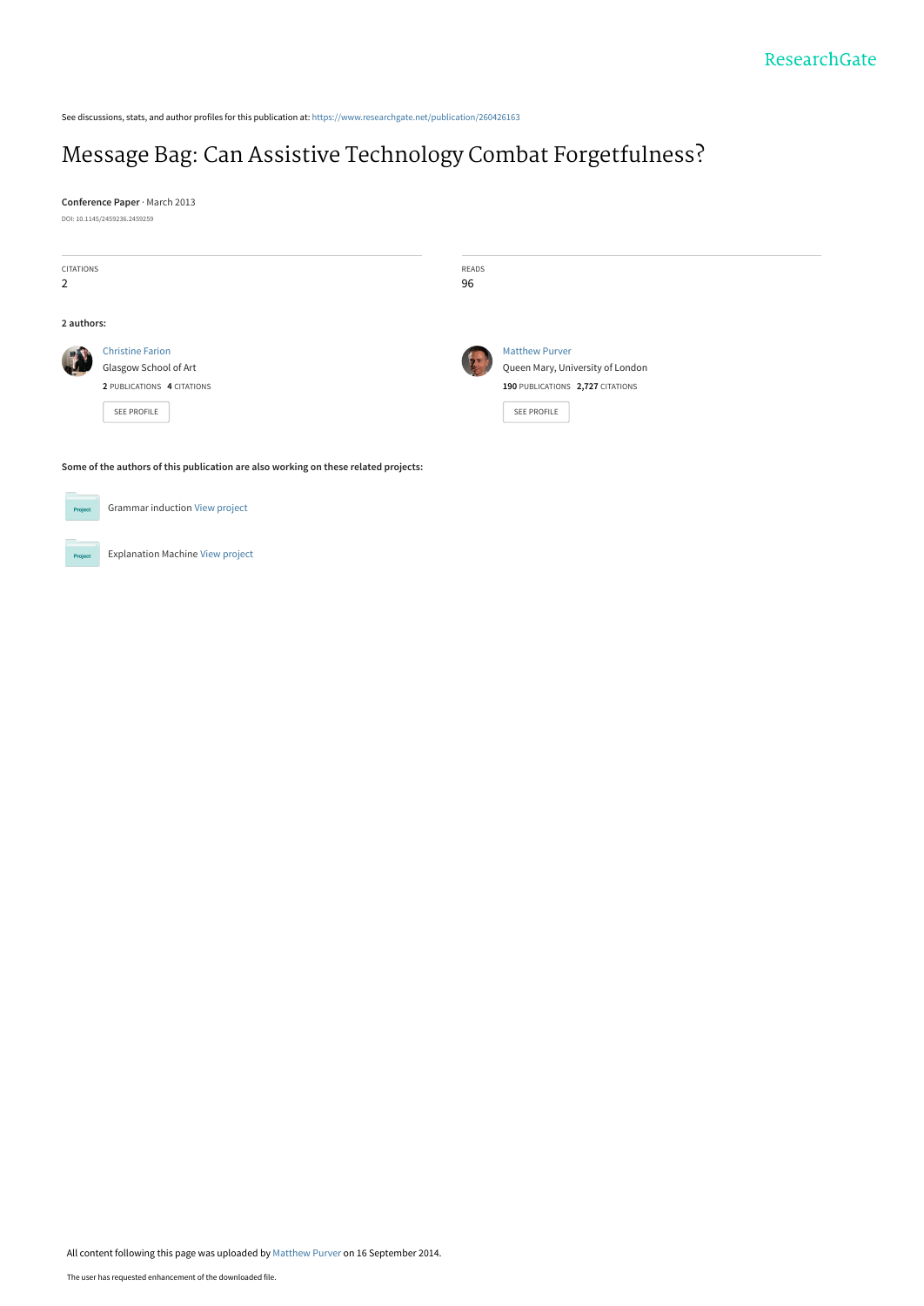See discussions, stats, and author profiles for this publication at: [https://www.researchgate.net/publication/260426163](https://www.researchgate.net/publication/260426163_Message_Bag_Can_Assistive_Technology_Combat_Forgetfulness?enrichId=rgreq-7269d30e9527922b3ff99cfd2bb5fef6-XXX&enrichSource=Y292ZXJQYWdlOzI2MDQyNjE2MztBUzoxNDE5ODY4NzA4NjE4MjZAMTQxMDg2MzcxNjM1OA%3D%3D&el=1_x_2&_esc=publicationCoverPdf)

# [Message Bag: Can Assistive Technology Combat Forgetfulness?](https://www.researchgate.net/publication/260426163_Message_Bag_Can_Assistive_Technology_Combat_Forgetfulness?enrichId=rgreq-7269d30e9527922b3ff99cfd2bb5fef6-XXX&enrichSource=Y292ZXJQYWdlOzI2MDQyNjE2MztBUzoxNDE5ODY4NzA4NjE4MjZAMTQxMDg2MzcxNjM1OA%3D%3D&el=1_x_3&_esc=publicationCoverPdf)

**Conference Paper** · March 2013 DOI: 10.1145/2459236.2459259

| CITATIONS      |                            | READS |                                  |
|----------------|----------------------------|-------|----------------------------------|
| $\overline{2}$ |                            | 96    |                                  |
| 2 authors:     |                            |       |                                  |
| <b>ALL</b>     | <b>Christine Farion</b>    | 25    | <b>Matthew Purver</b>            |
|                | Glasgow School of Art      |       | Queen Mary, University of London |
|                | 2 PUBLICATIONS 4 CITATIONS |       | 190 PUBLICATIONS 2,727 CITATIONS |
|                | SEE PROFILE                |       | SEE PROFILE                      |
|                |                            |       |                                  |

**Some of the authors of this publication are also working on these related projects:**

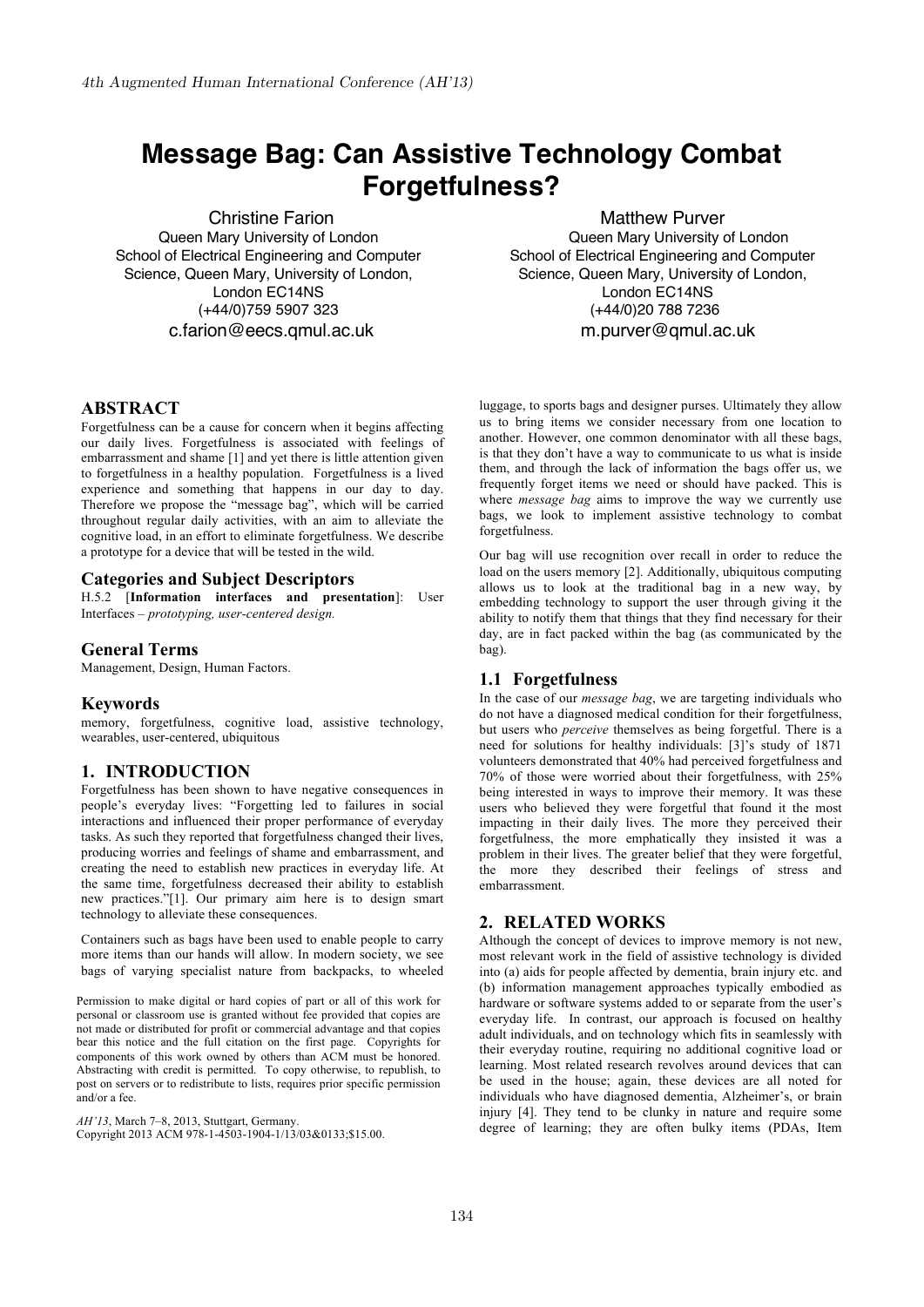# **Message Bag: Can Assistive Technology Combat Forgetfulness?**

Christine Farion Queen Mary University of London School of Electrical Engineering and Computer Science, Queen Mary, University of London, London EC14NS (+44/0)759 5907 323 c.farion@eecs.qmul.ac.uk

# **ABSTRACT**

Forgetfulness can be a cause for concern when it begins affecting our daily lives. Forgetfulness is associated with feelings of embarrassment and shame [1] and yet there is little attention given to forgetfulness in a healthy population. Forgetfulness is a lived experience and something that happens in our day to day. Therefore we propose the "message bag", which will be carried throughout regular daily activities, with an aim to alleviate the cognitive load, in an effort to eliminate forgetfulness. We describe a prototype for a device that will be tested in the wild.

### **Categories and Subject Descriptors**

H.5.2 [**Information interfaces and presentation**]: User Interfaces – *prototyping, user-centered design.* 

# **General Terms**

Management, Design, Human Factors.

#### **Keywords**

memory, forgetfulness, cognitive load, assistive technology, wearables, user-centered, ubiquitous

# **1. INTRODUCTION**

Forgetfulness has been shown to have negative consequences in people's everyday lives: "Forgetting led to failures in social interactions and influenced their proper performance of everyday tasks. As such they reported that forgetfulness changed their lives, producing worries and feelings of shame and embarrassment, and creating the need to establish new practices in everyday life. At the same time, forgetfulness decreased their ability to establish new practices."[1]. Our primary aim here is to design smart technology to alleviate these consequences.

Containers such as bags have been used to enable people to carry more items than our hands will allow. In modern society, we see bags of varying specialist nature from backpacks, to wheeled

Permission to make digital or hard copies of part or all of this work for personal or classroom use is granted without fee provided that copies are not made or distributed for profit or commercial advantage and that copies bear this notice and the full citation on the first page. Copyrights for components of this work owned by others than ACM must be honored. Abstracting with credit is permitted. To copy otherwise, to republish, to post on servers or to redistribute to lists, requires prior specific permission and/or a fee.

*AH'13*, March 7–8, 2013, Stuttgart, Germany. Copyright 2013 ACM 978-1-4503-1904-1/13/03&0133;\$15.00.

Matthew Purver Queen Mary University of London School of Electrical Engineering and Computer Science, Queen Mary, University of London, London EC14NS (+44/0)20 788 7236 m.purver@qmul.ac.uk

luggage, to sports bags and designer purses. Ultimately they allow us to bring items we consider necessary from one location to another. However, one common denominator with all these bags, is that they don't have a way to communicate to us what is inside them, and through the lack of information the bags offer us, we frequently forget items we need or should have packed. This is where *message bag* aims to improve the way we currently use bags, we look to implement assistive technology to combat forgetfulness.

Our bag will use recognition over recall in order to reduce the load on the users memory [2]. Additionally, ubiquitous computing allows us to look at the traditional bag in a new way, by embedding technology to support the user through giving it the ability to notify them that things that they find necessary for their day, are in fact packed within the bag (as communicated by the bag).

## **1.1 Forgetfulness**

In the case of our *message bag*, we are targeting individuals who do not have a diagnosed medical condition for their forgetfulness, but users who *perceive* themselves as being forgetful. There is a need for solutions for healthy individuals: [3]'s study of 1871 volunteers demonstrated that 40% had perceived forgetfulness and 70% of those were worried about their forgetfulness, with 25% being interested in ways to improve their memory. It was these users who believed they were forgetful that found it the most impacting in their daily lives. The more they perceived their forgetfulness, the more emphatically they insisted it was a problem in their lives. The greater belief that they were forgetful, the more they described their feelings of stress and embarrassment.

# **2. RELATED WORKS**

Although the concept of devices to improve memory is not new, most relevant work in the field of assistive technology is divided into (a) aids for people affected by dementia, brain injury etc. and (b) information management approaches typically embodied as hardware or software systems added to or separate from the user's everyday life. In contrast, our approach is focused on healthy adult individuals, and on technology which fits in seamlessly with their everyday routine, requiring no additional cognitive load or learning. Most related research revolves around devices that can be used in the house; again, these devices are all noted for individuals who have diagnosed dementia, Alzheimer's, or brain injury [4]. They tend to be clunky in nature and require some degree of learning; they are often bulky items (PDAs, Item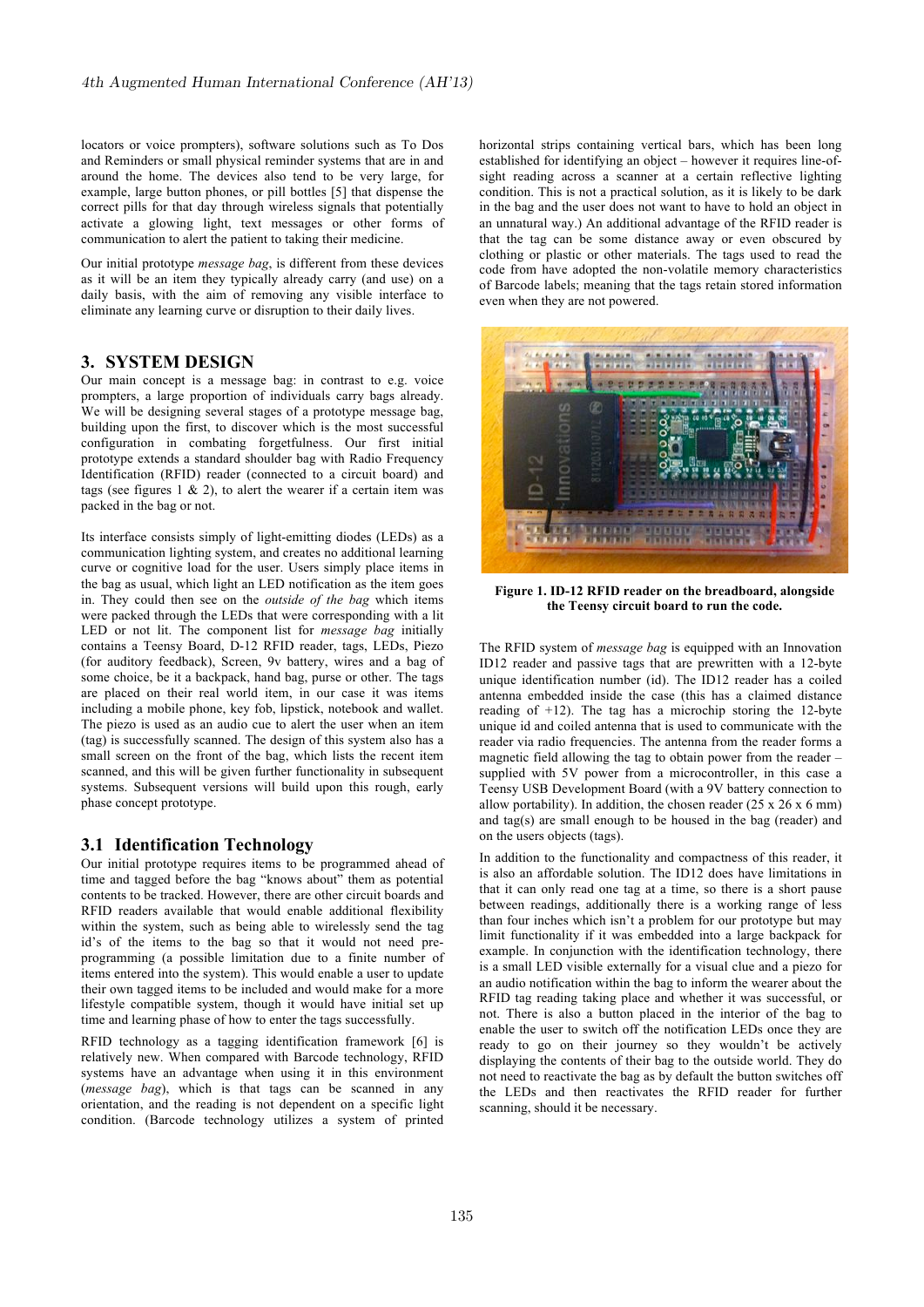locators or voice prompters), software solutions such as To Dos and Reminders or small physical reminder systems that are in and around the home. The devices also tend to be very large, for example, large button phones, or pill bottles [5] that dispense the correct pills for that day through wireless signals that potentially activate a glowing light, text messages or other forms of communication to alert the patient to taking their medicine.

Our initial prototype *message bag*, is different from these devices as it will be an item they typically already carry (and use) on a daily basis, with the aim of removing any visible interface to eliminate any learning curve or disruption to their daily lives.

# **3. SYSTEM DESIGN**

Our main concept is a message bag: in contrast to e.g. voice prompters, a large proportion of individuals carry bags already. We will be designing several stages of a prototype message bag, building upon the first, to discover which is the most successful configuration in combating forgetfulness. Our first initial prototype extends a standard shoulder bag with Radio Frequency Identification (RFID) reader (connected to a circuit board) and tags (see figures  $1 \& 2$ ), to alert the wearer if a certain item was packed in the bag or not.

Its interface consists simply of light-emitting diodes (LEDs) as a communication lighting system, and creates no additional learning curve or cognitive load for the user. Users simply place items in the bag as usual, which light an LED notification as the item goes in. They could then see on the *outside of the bag* which items were packed through the LEDs that were corresponding with a lit LED or not lit. The component list for *message bag* initially contains a Teensy Board, D-12 RFID reader, tags, LEDs, Piezo (for auditory feedback), Screen, 9v battery, wires and a bag of some choice, be it a backpack, hand bag, purse or other. The tags are placed on their real world item, in our case it was items including a mobile phone, key fob, lipstick, notebook and wallet. The piezo is used as an audio cue to alert the user when an item (tag) is successfully scanned. The design of this system also has a small screen on the front of the bag, which lists the recent item scanned, and this will be given further functionality in subsequent systems. Subsequent versions will build upon this rough, early phase concept prototype.

## **3.1 Identification Technology**

Our initial prototype requires items to be programmed ahead of time and tagged before the bag "knows about" them as potential contents to be tracked. However, there are other circuit boards and RFID readers available that would enable additional flexibility within the system, such as being able to wirelessly send the tag id's of the items to the bag so that it would not need preprogramming (a possible limitation due to a finite number of items entered into the system). This would enable a user to update their own tagged items to be included and would make for a more lifestyle compatible system, though it would have initial set up time and learning phase of how to enter the tags successfully.

RFID technology as a tagging identification framework [6] is relatively new. When compared with Barcode technology, RFID systems have an advantage when using it in this environment (*message bag*), which is that tags can be scanned in any orientation, and the reading is not dependent on a specific light condition. (Barcode technology utilizes a system of printed horizontal strips containing vertical bars, which has been long established for identifying an object – however it requires line-ofsight reading across a scanner at a certain reflective lighting condition. This is not a practical solution, as it is likely to be dark in the bag and the user does not want to have to hold an object in an unnatural way.) An additional advantage of the RFID reader is that the tag can be some distance away or even obscured by clothing or plastic or other materials. The tags used to read the code from have adopted the non-volatile memory characteristics of Barcode labels; meaning that the tags retain stored information even when they are not powered.



**Figure 1. ID-12 RFID reader on the breadboard, alongside the Teensy circuit board to run the code.**

The RFID system of *message bag* is equipped with an Innovation ID12 reader and passive tags that are prewritten with a 12-byte unique identification number (id). The ID12 reader has a coiled antenna embedded inside the case (this has a claimed distance reading of  $+12$ ). The tag has a microchip storing the 12-byte unique id and coiled antenna that is used to communicate with the reader via radio frequencies. The antenna from the reader forms a magnetic field allowing the tag to obtain power from the reader – supplied with 5V power from a microcontroller, in this case a Teensy USB Development Board (with a 9V battery connection to allow portability). In addition, the chosen reader  $(25 \times 26 \times 6 \text{ mm})$ and tag(s) are small enough to be housed in the bag (reader) and on the users objects (tags).

In addition to the functionality and compactness of this reader, it is also an affordable solution. The ID12 does have limitations in that it can only read one tag at a time, so there is a short pause between readings, additionally there is a working range of less than four inches which isn't a problem for our prototype but may limit functionality if it was embedded into a large backpack for example. In conjunction with the identification technology, there is a small LED visible externally for a visual clue and a piezo for an audio notification within the bag to inform the wearer about the RFID tag reading taking place and whether it was successful, or not. There is also a button placed in the interior of the bag to enable the user to switch off the notification LEDs once they are ready to go on their journey so they wouldn't be actively displaying the contents of their bag to the outside world. They do not need to reactivate the bag as by default the button switches off the LEDs and then reactivates the RFID reader for further scanning, should it be necessary.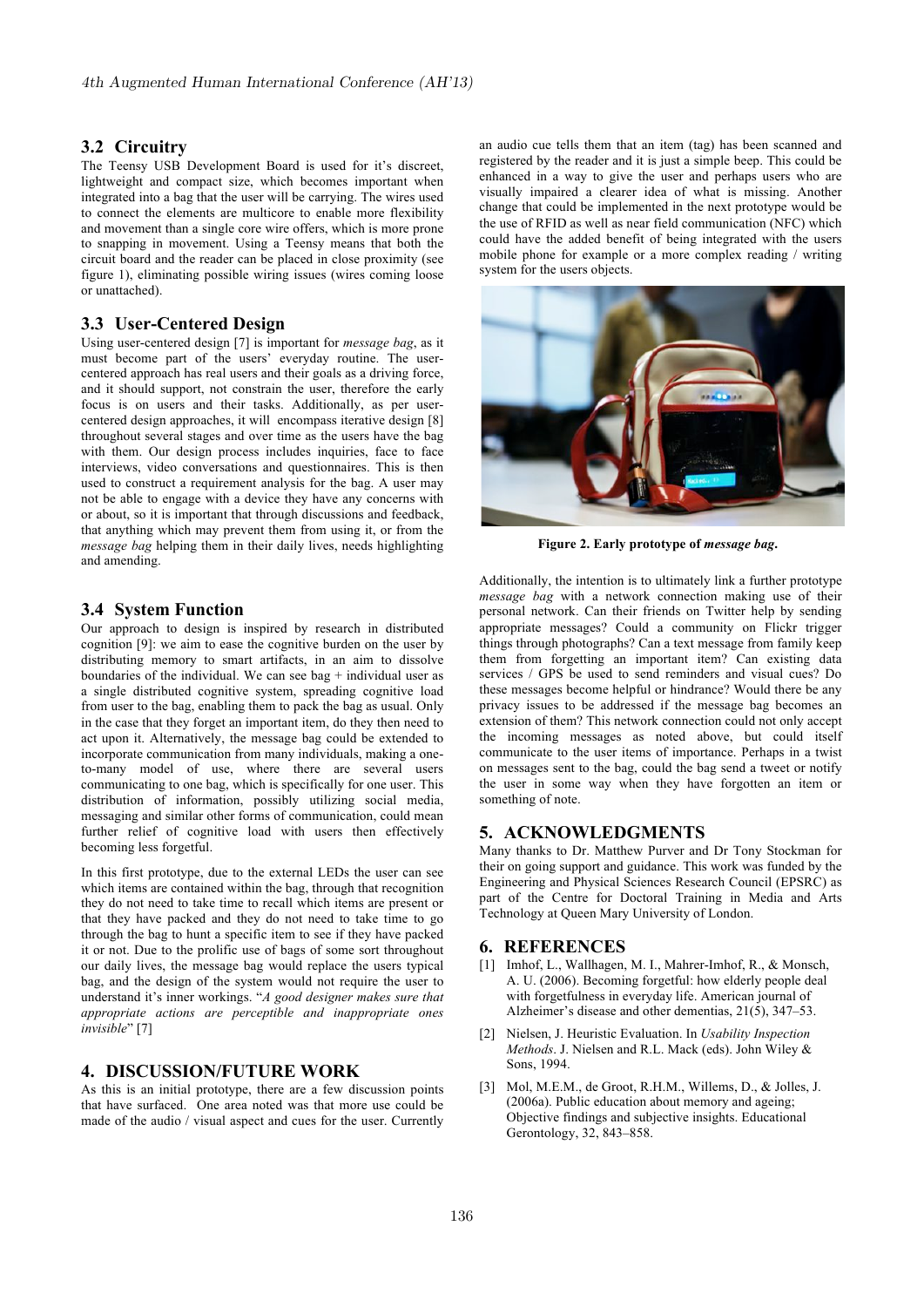# **3.2 Circuitry**

The Teensy USB Development Board is used for it's discreet, lightweight and compact size, which becomes important when integrated into a bag that the user will be carrying. The wires used to connect the elements are multicore to enable more flexibility and movement than a single core wire offers, which is more prone to snapping in movement. Using a Teensy means that both the circuit board and the reader can be placed in close proximity (see figure 1), eliminating possible wiring issues (wires coming loose or unattached).

# **3.3 User-Centered Design**

Using user-centered design [7] is important for *message bag*, as it must become part of the users' everyday routine. The usercentered approach has real users and their goals as a driving force, and it should support, not constrain the user, therefore the early focus is on users and their tasks. Additionally, as per usercentered design approaches, it will encompass iterative design [8] throughout several stages and over time as the users have the bag with them. Our design process includes inquiries, face to face interviews, video conversations and questionnaires. This is then used to construct a requirement analysis for the bag. A user may not be able to engage with a device they have any concerns with or about, so it is important that through discussions and feedback, that anything which may prevent them from using it, or from the *message bag* helping them in their daily lives, needs highlighting and amending.

# **3.4 System Function**

Our approach to design is inspired by research in distributed cognition [9]: we aim to ease the cognitive burden on the user by distributing memory to smart artifacts, in an aim to dissolve boundaries of the individual. We can see bag  $+$  individual user as a single distributed cognitive system, spreading cognitive load from user to the bag, enabling them to pack the bag as usual. Only in the case that they forget an important item, do they then need to act upon it. Alternatively, the message bag could be extended to incorporate communication from many individuals, making a oneto-many model of use, where there are several users communicating to one bag, which is specifically for one user. This distribution of information, possibly utilizing social media, messaging and similar other forms of communication, could mean further relief of cognitive load with users then effectively becoming less forgetful.

In this first prototype, due to the external LEDs the user can see which items are contained within the bag, through that recognition they do not need to take time to recall which items are present or that they have packed and they do not need to take time to go through the bag to hunt a specific item to see if they have packed it or not. Due to the prolific use of bags of some sort throughout our daily lives, the message bag would replace the users typical bag, and the design of the system would not require the user to understand it's inner workings. "*A good designer makes sure that appropriate actions are perceptible and inappropriate ones invisible*" [7]

#### **4. DISCUSSION/FUTURE WORK**

As this is an initial prototype, there are a few discussion points that have surfaced. One area noted was that more use could be made of the audio / visual aspect and cues for the user. Currently an audio cue tells them that an item (tag) has been scanned and registered by the reader and it is just a simple beep. This could be enhanced in a way to give the user and perhaps users who are visually impaired a clearer idea of what is missing. Another change that could be implemented in the next prototype would be the use of RFID as well as near field communication (NFC) which could have the added benefit of being integrated with the users mobile phone for example or a more complex reading / writing system for the users objects.



**Figure 2. Early prototype of** *message bag***.**

Additionally, the intention is to ultimately link a further prototype Additionary, the intention is to utilizately fink a further prototype *message bag* with a network connection making use of their personal network. Can their friends on Twitter help by sending appropriate messages? Could a community on Flickr trigger things through photographs? Can a text message from family keep them from forgetting an important item? Can existing data services / GPS be used to send reminders and visual cues? Do these messages become helpful or hindrance? Would there be any privacy issues to be addressed if the message bag becomes an extension of them? This network connection could not only accept the incoming messages as noted above, but could itself communicate to the user items of importance. Perhaps in a twist on messages sent to the bag, could the bag send a tweet or notify the user in some way when they have forgotten an item or something of note.

# **5. ACKNOWLEDGMENTS**

Many thanks to Dr. Matthew Purver and Dr Tony Stockman for their on going support and guidance. This work was funded by the Engineering and Physical Sciences Research Council (EPSRC) as part of the Centre for Doctoral Training in Media and Arts Technology at Queen Mary University of London.

# **6. REFERENCES**

- [1] Imhof, L., Wallhagen, M. I., Mahrer-Imhof, R., & Monsch, A. U. (2006). Becoming forgetful: how elderly people deal with forgetfulness in everyday life. American journal of Alzheimer's disease and other dementias,  $21(5)$ ,  $347-53$ .
- [2] Nielsen, J. Heuristic Evaluation. In *Usability Inspection Methods*. J. Nielsen and R.L. Mack (eds). John Wiley & Sons, 1994.
- [3] Mol, M.E.M., de Groot, R.H.M., Willems, D., & Jolles, J. (2006a). Public education about memory and ageing; Objective findings and subjective insights. Educational Gerontology, 32, 843–858.